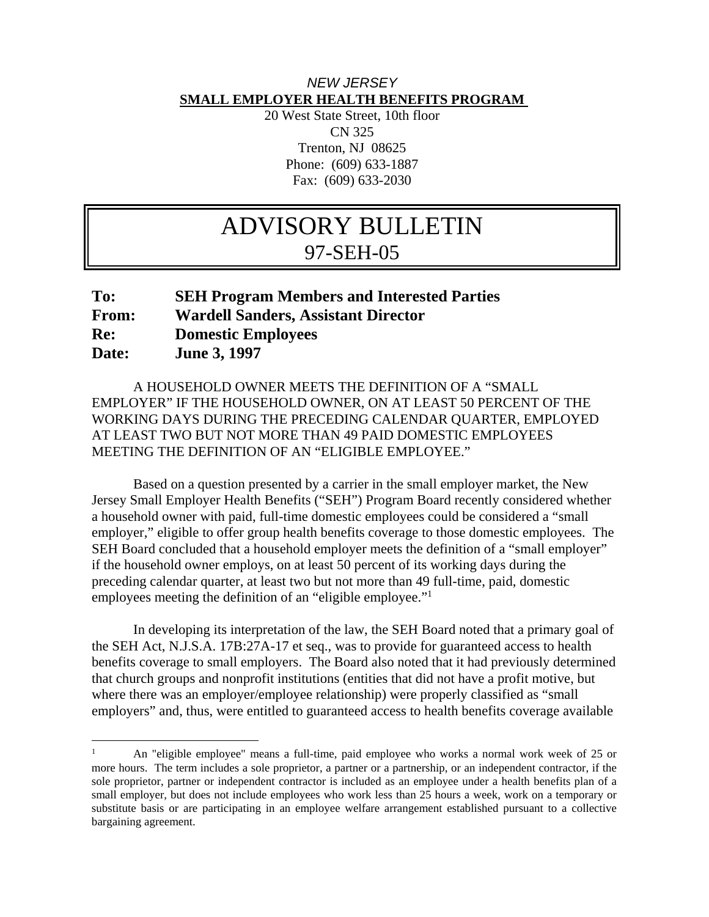## *NEW JERSEY*  **SMALL EMPLOYER HEALTH BENEFITS PROGRAM**

20 West State Street, 10th floor CN 325 Trenton, NJ 08625 Phone: (609) 633-1887 Fax: (609) 633-2030

## ADVISORY BULLETIN 97-SEH-05

## **To: SEH Program Members and Interested Parties From: Wardell Sanders, Assistant Director Re: Domestic Employees Date: June 3, 1997**

 A HOUSEHOLD OWNER MEETS THE DEFINITION OF A "SMALL EMPLOYER" IF THE HOUSEHOLD OWNER, ON AT LEAST 50 PERCENT OF THE WORKING DAYS DURING THE PRECEDING CALENDAR QUARTER, EMPLOYED AT LEAST TWO BUT NOT MORE THAN 49 PAID DOMESTIC EMPLOYEES MEETING THE DEFINITION OF AN "ELIGIBLE EMPLOYEE."

 Based on a question presented by a carrier in the small employer market, the New Jersey Small Employer Health Benefits ("SEH") Program Board recently considered whether a household owner with paid, full-time domestic employees could be considered a "small employer," eligible to offer group health benefits coverage to those domestic employees. The SEH Board concluded that a household employer meets the definition of a "small employer" if the household owner employs, on at least 50 percent of its working days during the preceding calendar quarter, at least two but not more than 49 full-time, paid, domestic employees meeting the definition of an "eligible employee."<sup>1</sup>

 In developing its interpretation of the law, the SEH Board noted that a primary goal of the SEH Act, N.J.S.A. 17B:27A-17 et seq., was to provide for guaranteed access to health benefits coverage to small employers. The Board also noted that it had previously determined that church groups and nonprofit institutions (entities that did not have a profit motive, but where there was an employer/employee relationship) were properly classified as "small employers" and, thus, were entitled to guaranteed access to health benefits coverage available

 $\overline{a}$ 

<sup>1</sup> An "eligible employee" means a full-time, paid employee who works a normal work week of 25 or more hours. The term includes a sole proprietor, a partner or a partnership, or an independent contractor, if the sole proprietor, partner or independent contractor is included as an employee under a health benefits plan of a small employer, but does not include employees who work less than 25 hours a week, work on a temporary or substitute basis or are participating in an employee welfare arrangement established pursuant to a collective bargaining agreement.